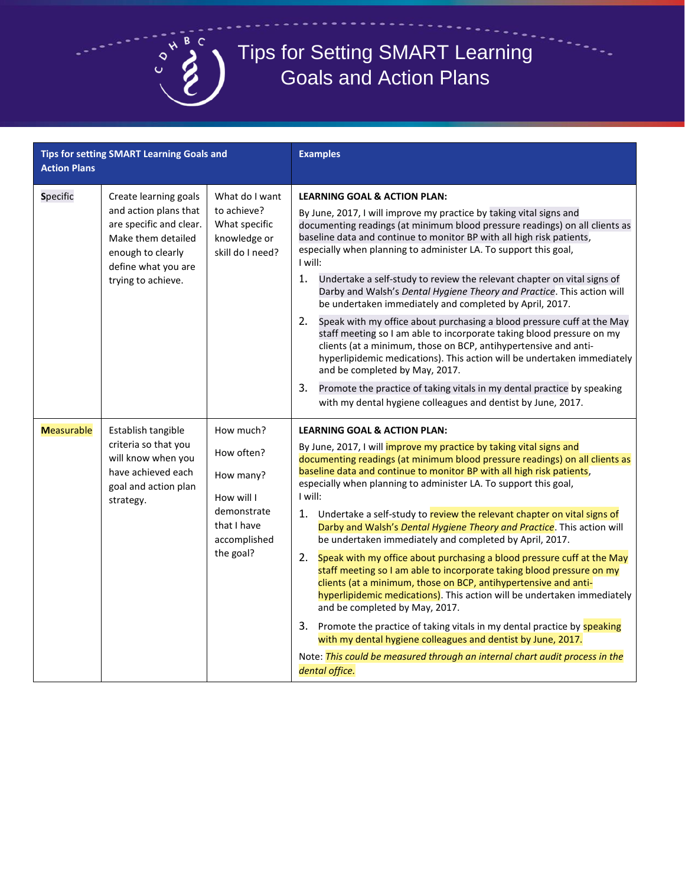

## Tips for Setting SMART Learning Goals and Action Plans

| <b>Action Plans</b> | Tips for setting SMART Learning Goals and                                                                                                                         |                                                                                                               | <b>Examples</b>                                                                                                                                                                                                                                                                                                                                                                                                                                                                                                                                                                                                                                                                                                                                                                                                                                                                                                                                                                                                                                                                                                                                               |
|---------------------|-------------------------------------------------------------------------------------------------------------------------------------------------------------------|---------------------------------------------------------------------------------------------------------------|---------------------------------------------------------------------------------------------------------------------------------------------------------------------------------------------------------------------------------------------------------------------------------------------------------------------------------------------------------------------------------------------------------------------------------------------------------------------------------------------------------------------------------------------------------------------------------------------------------------------------------------------------------------------------------------------------------------------------------------------------------------------------------------------------------------------------------------------------------------------------------------------------------------------------------------------------------------------------------------------------------------------------------------------------------------------------------------------------------------------------------------------------------------|
| Specific            | Create learning goals<br>and action plans that<br>are specific and clear.<br>Make them detailed<br>enough to clearly<br>define what you are<br>trying to achieve. | What do I want<br>to achieve?<br>What specific<br>knowledge or<br>skill do I need?                            | <b>LEARNING GOAL &amp; ACTION PLAN:</b><br>By June, 2017, I will improve my practice by taking vital signs and<br>documenting readings (at minimum blood pressure readings) on all clients as<br>baseline data and continue to monitor BP with all high risk patients,<br>especially when planning to administer LA. To support this goal,<br>I will:<br>1.<br>Undertake a self-study to review the relevant chapter on vital signs of<br>Darby and Walsh's Dental Hygiene Theory and Practice. This action will<br>be undertaken immediately and completed by April, 2017.<br>2.<br>Speak with my office about purchasing a blood pressure cuff at the May<br>staff meeting so I am able to incorporate taking blood pressure on my<br>clients (at a minimum, those on BCP, antihypertensive and anti-<br>hyperlipidemic medications). This action will be undertaken immediately<br>and be completed by May, 2017.<br>3.<br>Promote the practice of taking vitals in my dental practice by speaking<br>with my dental hygiene colleagues and dentist by June, 2017.                                                                                         |
| <b>Measurable</b>   | Establish tangible<br>criteria so that you<br>will know when you<br>have achieved each<br>goal and action plan<br>strategy.                                       | How much?<br>How often?<br>How many?<br>How will I<br>demonstrate<br>that I have<br>accomplished<br>the goal? | <b>LEARNING GOAL &amp; ACTION PLAN:</b><br>By June, 2017, I will improve my practice by taking vital signs and<br>documenting readings (at minimum blood pressure readings) on all clients as<br>baseline data and continue to monitor BP with all high risk patients,<br>especially when planning to administer LA. To support this goal,<br>I will:<br>1. Undertake a self-study to review the relevant chapter on vital signs of<br>Darby and Walsh's Dental Hygiene Theory and Practice. This action will<br>be undertaken immediately and completed by April, 2017.<br>2. Speak with my office about purchasing a blood pressure cuff at the May<br>staff meeting so I am able to incorporate taking blood pressure on my<br>clients (at a minimum, those on BCP, antihypertensive and anti-<br>hyperlipidemic medications). This action will be undertaken immediately<br>and be completed by May, 2017.<br>3. Promote the practice of taking vitals in my dental practice by speaking<br>with my dental hygiene colleagues and dentist by June, 2017.<br>Note: This could be measured through an internal chart audit process in the<br>dental office. |